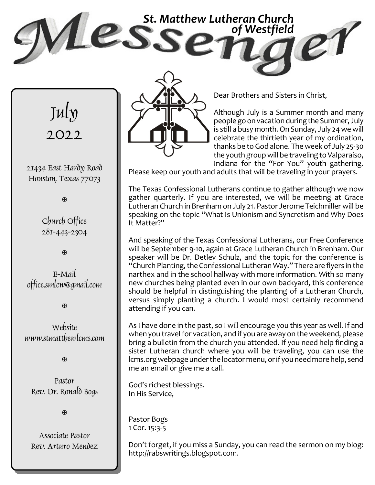



21434 East Hardy Road Houston, Texas 77073

a

Church Office 281-443-2304

a

E-Mail office.smlcw@gmail.com

a

Website www.stmatthewlcms.com

a

Pastor Rev. Dr. Ronald Bogs

**A** 

Associate Pastor Rev. Arturo Mendez



Dear Brothers and Sisters in Christ,

Although July is a Summer month and many peoplegoonvacationduringtheSummer, July is still a busy month. On Sunday, July 24 we will celebrate the thirtieth year of my ordination, thanks be to God alone. The week of July 25-30 the youth group will be traveling to Valparaiso, Indiana for the "For You" youth gathering.

Please keep our youth and adults that will be traveling in your prayers.

The Texas Confessional Lutherans continue to gather although we now gather quarterly. If you are interested, we will be meeting at Grace Lutheran Church in Brenham on July 21. Pastor Jerome Teichmiller will be speaking on the topic "What Is Unionism and Syncretism and Why Does It Matter?"

And speaking of the Texas Confessional Lutherans, our Free Conference will be September 9-10, again at Grace Lutheran Church in Brenham. Our speaker will be Dr. Detlev Schulz, and the topic for the conference is "Church Planting, theConfessional LutheranWay." There are flyers in the narthex and in the school hallway with more information. With so many new churches being planted even in our own backyard, this conference should be helpful in distinguishing the planting of a Lutheran Church, versus simply planting a church. I would most certainly recommend attending if you can.

As I have done in the past, so I will encourage you this year as well. If and when you travel for vacation, and if you are away on the weekend, please bring a bulletin from the church you attended. If you need help finding a sister Lutheran church where you will be traveling, you can use the lcms.org webpage under the locator menu, or if you need more help, send me an email or give me a call.

God's richest blessings. In His Service,

Pastor Bogs 1 Cor. 15:3-5

Don't forget, if you miss a Sunday, you can read the sermon on my blog: http://rabswritings.blogspot.com.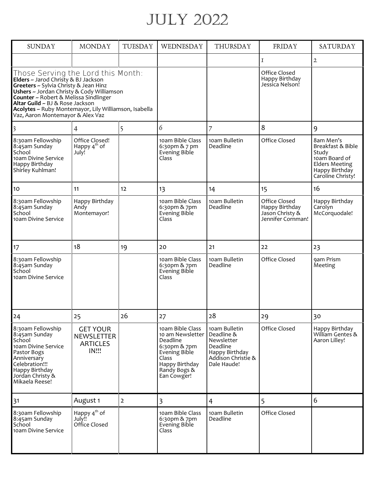## July 2022

| <b>SUNDAY</b>                                                                                                                                                                                                                                                                                                                                          | <b>MONDAY</b>                                                           | <b>TUESDAY</b> | WEDNESDAY                                                                                                                                   | <b>THURSDAY</b>                                                                                              | FRIDAY                                                                  | <b>SATURDAY</b>                                                                                                          |
|--------------------------------------------------------------------------------------------------------------------------------------------------------------------------------------------------------------------------------------------------------------------------------------------------------------------------------------------------------|-------------------------------------------------------------------------|----------------|---------------------------------------------------------------------------------------------------------------------------------------------|--------------------------------------------------------------------------------------------------------------|-------------------------------------------------------------------------|--------------------------------------------------------------------------------------------------------------------------|
|                                                                                                                                                                                                                                                                                                                                                        |                                                                         |                |                                                                                                                                             |                                                                                                              | 1                                                                       | $\mathfrak{2}$                                                                                                           |
| Those Serving the Lord this Month:<br><b>Elders</b> ~ Jarod Christy & BJ Jackson<br><b>Greeters</b> ~ Sylvia Christy & Jean Hinz<br>Ushers ~ Jordan Christy & Cody Williamson<br>Counter ~ Robert & Melissa Sindlinger<br>Altar Guild ~ BJ & Rose Jackson<br>Acolytes ~ Ruby Montemayor, Lily Williamson, Isabella<br>Vaz, Aaron Montemayor & Alex Vaz |                                                                         |                |                                                                                                                                             |                                                                                                              | Office Closed<br>Happy Birthday<br>Jessica Nelson!                      |                                                                                                                          |
| $\overline{\mathfrak{z}}$                                                                                                                                                                                                                                                                                                                              | 4                                                                       | 5              | 6                                                                                                                                           | 7                                                                                                            | 8                                                                       | 9                                                                                                                        |
| 8:30am Fellowship<br>8:45am Sunday<br>School<br>10am Divine Service<br>Happy Birthday<br>Shirley Kuhlman!                                                                                                                                                                                                                                              | Office Closed!<br>Happy 4 <sup>th</sup> of<br>July!                     |                | 10am Bible Class<br>6:30pm & 7 pm<br>Evening Bible<br>Class                                                                                 | 10am Bulletin<br>Deadline                                                                                    | Office Closed                                                           | 8am Men's<br>Breakfast & Bible<br>Study<br>10am Board of<br><b>Elders Meeting</b><br>Happy Birthday<br>Caroline Christy! |
| 10                                                                                                                                                                                                                                                                                                                                                     | 11                                                                      | 12             | 13                                                                                                                                          | 14                                                                                                           | 15                                                                      | 16                                                                                                                       |
| 8:30am Fellowship<br>8:45am Sunday<br>School<br>10am Divine Service                                                                                                                                                                                                                                                                                    | Happy Birthday<br>Andy<br>Montemayor!                                   |                | 10am Bible Class<br>6:30pm & 7pm<br>Evening Bible<br>Class                                                                                  | 10am Bulletin<br>Deadline                                                                                    | Office Closed<br>Happy Birthday<br>Jason Christy &<br>Jennifer Cornman! | Happy Birthday<br>Carolyn<br>McCorquodale!                                                                               |
| 17                                                                                                                                                                                                                                                                                                                                                     | 18                                                                      | 19             | 20                                                                                                                                          | 21                                                                                                           | 22                                                                      | 23                                                                                                                       |
| 8:30am Fellowship<br>8:45am Sunday<br>School<br>10am Divine Service                                                                                                                                                                                                                                                                                    |                                                                         |                | 10am Bible Class<br>6:30pm & 7pm<br>Evening Bible<br>Class                                                                                  | 10am Bulletin<br>Deadline                                                                                    | Office Closed                                                           | 9am Prism<br>Meeting                                                                                                     |
| 24                                                                                                                                                                                                                                                                                                                                                     | 25                                                                      | 26             | 27                                                                                                                                          | 28                                                                                                           | 29                                                                      | 30                                                                                                                       |
| 8:30am Fellowship<br>8:45am Sunday<br>School<br>10am Divine Service<br>Pastor Bogs<br>Anniversary<br>Celebration!!!<br>Happy Birthday<br>Jordan Christy <sup>8</sup><br>Mikaela Reese!                                                                                                                                                                 | <b>GET YOUR</b><br><b>NEWSLETTER</b><br><b>ARTICLES</b><br><b>IN!!!</b> |                | 10am Bible Class<br>10 am Newsletter<br>Deadline<br>6:30pm & 7pm<br>Evening Bible<br>Class<br>Happy Birthday<br>Randy Bogs &<br>Ean Cowger! | 10am Bulletin<br>Deadline &<br>Newsletter<br>Deadline<br>Happy Birthday<br>Addison Christie &<br>Dale Haude! | Office Closed                                                           | Happy Birthday<br>William Gentes &<br>Aaron Lilley!                                                                      |
| 31                                                                                                                                                                                                                                                                                                                                                     | August 1                                                                | $\overline{2}$ | 3                                                                                                                                           | 4                                                                                                            | 5                                                                       | 6                                                                                                                        |
| 8:30am Fellowship<br>8:45am Sunday<br>School<br>10am Divine Service                                                                                                                                                                                                                                                                                    | Happy $4^{\text{th}}$ of<br>July!!<br>Office Closed                     |                | 10am Bible Class<br>6:30pm & 7pm<br>Evening Bible<br>Class                                                                                  | 10am Bulletin<br>Deadline                                                                                    | Office Closed                                                           |                                                                                                                          |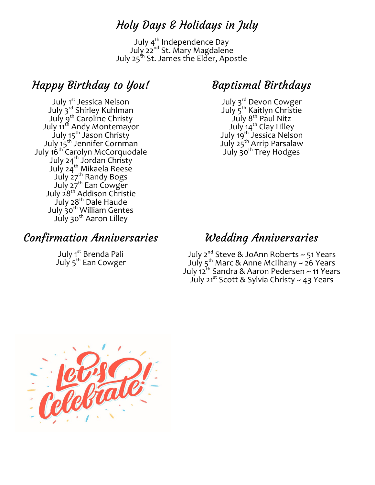#### Holy Days & Holidays in July

July  $4^{\text{th}}$  Independence Day July 22<sup>nd</sup> St. Mary Magdalene July 25<sup>th</sup> St. James the Elder, Apostle

## Happy Birthday to You!

July 1st Jessica Nelson July 3<sup>rd</sup> Shirley Kuhlman July 9th Caroline Christy July 11th Andy Montemayor July 15<sup>th</sup> Jason Christy July 15<sup>th</sup> Jennifer Cornman July 16th Carolyn McCorquodale July 24<sup>th</sup> Jordan Christy July 24<sup>th</sup> Mikaela Reese July 27<sup>th</sup> Randy Bogs July 27<sup>th</sup> Ean Cowger July 28<sup>th</sup> Addison Christie July 28<sup>th</sup> Dale Haude July  $\mathsf{\dot{3}o}^\mathsf{th}$  William Gentes July 30<sup>th</sup> Aaron Lilley

#### Confirmation Anniversaries

July 1<sup>st</sup> Brenda Pali July 5<sup>th</sup> Ean Cowger

#### Baptismal Birthdays

July 3<sup>rd</sup> Devon Cowger July 5th Kaitlyn Christie July  $8^{\text{th}}$  Paul Nitz July 14<sup>th</sup> Clay Lilley July 19<sup>th</sup> Jessica Nelson July 25<sup>th</sup> Arrip Parsalaw July 30<sup>th</sup> Trey Hodges

#### Wedding Anniversaries

July 2<sup>nd</sup> Steve & JoAnn Roberts ~ 51 Years July 5<sup>th</sup> Marc & Anne McIlhany ~ 26 Years July 12th Sandra & Aaron Pedersen ~ 11 Years July 21<sup>st</sup> Scott & Sylvia Christy ~ 43 Years

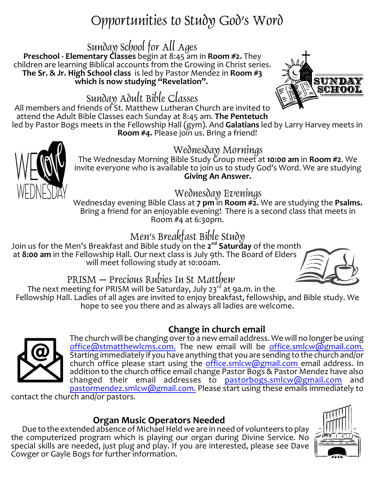# Opportunities to Study God's Word

## Sunday School for All Ages

**Preschool - Elementary Classes** begin at 8:45 am in **Room #2.** They children are learning Biblical accounts from the Growing in Christ series. **The Sr. & Jr. High School class** is led by Pastor Mendez in **Room #3** which is now studying "Revelation".

## Sunday Adult Bible Classes

All members and friends of St. Matthew Lutheran Church are invited to attend the Adult Bible Classes each Sunday at 8:45 am. **The Pentetuch**

led by Pastor Bogs meets in the Fellowship Hall (gym). And **Galatians** led by Larry Harvey meets in **Room #4.** Please join us. Bring a friend!

### Wednesday Mornings

The Wednesday Morning Bible Study Group meet at **10:00 am** in **Room #2**. We invite everyone who is available to join us to study God's Word. We are studying **Giving An Answer.**

#### Wednesday Evenings

Wednesday evening Bible Class at **7 pm** in **Room #2.** We are studying the **Psalms.** Bring a friend for an enjoyable evening! There is a second class that meets in Room #4 at 6:30pm.

## Men's Breakfast Bible Study

Join us for the Men's Breakfast and Bible study <sup>'</sup>on the **2<sup>nd</sup> Saturďay** of the month at **8:00 am** in the Fellowship Hall. Our next class is July 9th. The Board of Elders will meet following study at 10:00am.

# PRISM – Precious Rubies In St Matthew

The next meeting for PRISM will be Saturday, July 23<sup>rd</sup> at 9a.m. in the Fellowship Hall. Ladies of all ages are invited to enjoy breakfast, fellowship, and Bible study. We hope to see you there and as always all ladies are welcome.

#### **Change in church email**

The church will be changing over to a new email address. We will no longer be using [office@stmatthewlcms.com.](mailto:office@stmatthewlcms.com.) The new email will be [office.smlcw@gmail.com.](mailto:stmatthewwestfield@gmail.com.) Starting immediately if you have anything that you are sending to the church and/or church office please start using the [office.smlcw@gmail.com](mailto:stmatthewwestfield@gmail.com) email address. In addition to the church office email change Pastor Bogs & Pastor Mendez have also changed their email addresses to [pastorbogs.smlcw@gmail.com](mailto:pastorbogs.smlcw@gmail.com) and [pastormendez.smlcw@gmail.com.](mailto:pastormendez.smlcw@gmail.com.) Please start using these emails immediately to

contact the church and/or pastors.

#### **Organ Music Operators Needed**

Due to the extended absence of Michael Held we are in need of volunteers to play the computerized program which is playing our organ during Divine Service. No special skills are needed, just plug and play. If you are interested, please see Dave Cowger or Gayle Bogs for further information.